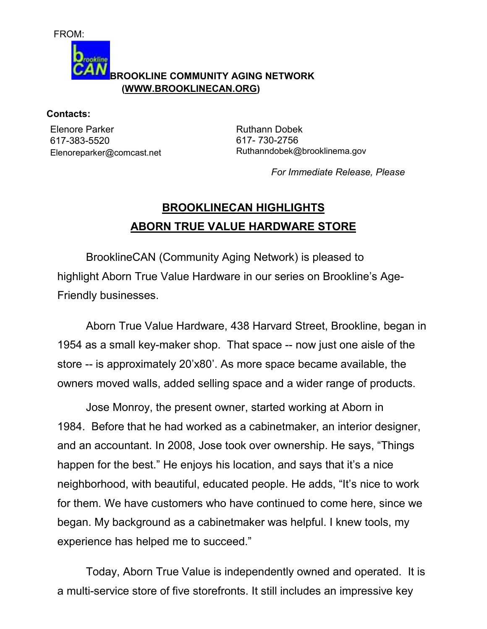FROM:



## **Contacts:**

Elenore Parker 617-383-5520 Elenoreparker@comcast.net Ruthann Dobek 617- 730-2756 Ruthanndobek@brooklinema.gov

*For Immediate Release, Please*

## **BROOKLINECAN HIGHLIGHTS ABORN TRUE VALUE HARDWARE STORE**

 BrooklineCAN (Community Aging Network) is pleased to highlight Aborn True Value Hardware in our series on Brookline's Age-Friendly businesses.

 Aborn True Value Hardware, 438 Harvard Street, Brookline, began in 1954 as a small key-maker shop. That space -- now just one aisle of the store -- is approximately 20'x80'. As more space became available, the owners moved walls, added selling space and a wider range of products.

 Jose Monroy, the present owner, started working at Aborn in 1984. Before that he had worked as a cabinetmaker, an interior designer, and an accountant. In 2008, Jose took over ownership. He says, "Things happen for the best." He enjoys his location, and says that it's a nice neighborhood, with beautiful, educated people. He adds, "It's nice to work for them. We have customers who have continued to come here, since we began. My background as a cabinetmaker was helpful. I knew tools, my experience has helped me to succeed."

 Today, Aborn True Value is independently owned and operated. It is a multi-service store of five storefronts. It still includes an impressive key